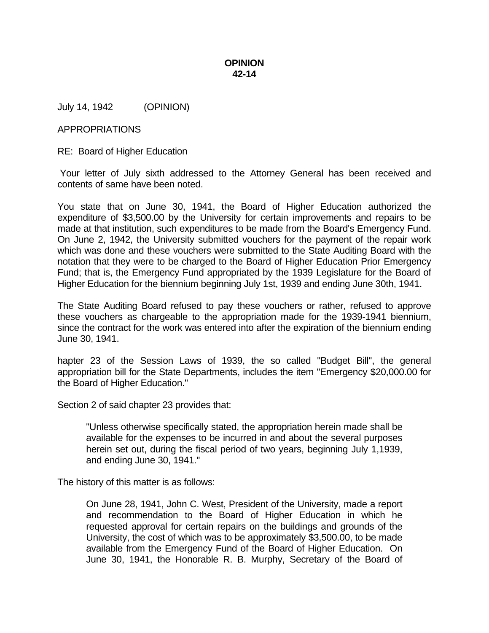## **OPINION 42-14**

July 14, 1942 (OPINION)

## APPROPRIATIONS

RE: Board of Higher Education

 Your letter of July sixth addressed to the Attorney General has been received and contents of same have been noted.

You state that on June 30, 1941, the Board of Higher Education authorized the expenditure of \$3,500.00 by the University for certain improvements and repairs to be made at that institution, such expenditures to be made from the Board's Emergency Fund. On June 2, 1942, the University submitted vouchers for the payment of the repair work which was done and these vouchers were submitted to the State Auditing Board with the notation that they were to be charged to the Board of Higher Education Prior Emergency Fund; that is, the Emergency Fund appropriated by the 1939 Legislature for the Board of Higher Education for the biennium beginning July 1st, 1939 and ending June 30th, 1941.

The State Auditing Board refused to pay these vouchers or rather, refused to approve these vouchers as chargeable to the appropriation made for the 1939-1941 biennium, since the contract for the work was entered into after the expiration of the biennium ending June 30, 1941.

hapter 23 of the Session Laws of 1939, the so called "Budget Bill", the general appropriation bill for the State Departments, includes the item "Emergency \$20,000.00 for the Board of Higher Education."

Section 2 of said chapter 23 provides that:

"Unless otherwise specifically stated, the appropriation herein made shall be available for the expenses to be incurred in and about the several purposes herein set out, during the fiscal period of two years, beginning July 1,1939, and ending June 30, 1941."

The history of this matter is as follows:

On June 28, 1941, John C. West, President of the University, made a report and recommendation to the Board of Higher Education in which he requested approval for certain repairs on the buildings and grounds of the University, the cost of which was to be approximately \$3,500.00, to be made available from the Emergency Fund of the Board of Higher Education. On June 30, 1941, the Honorable R. B. Murphy, Secretary of the Board of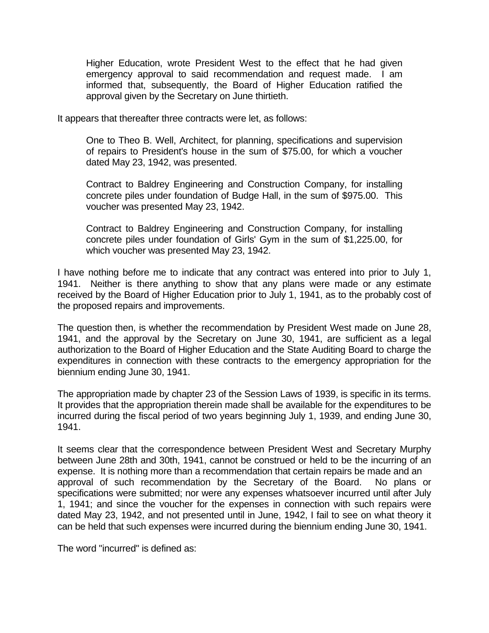Higher Education, wrote President West to the effect that he had given emergency approval to said recommendation and request made. I am informed that, subsequently, the Board of Higher Education ratified the approval given by the Secretary on June thirtieth.

It appears that thereafter three contracts were let, as follows:

One to Theo B. Well, Architect, for planning, specifications and supervision of repairs to President's house in the sum of \$75.00, for which a voucher dated May 23, 1942, was presented.

Contract to Baldrey Engineering and Construction Company, for installing concrete piles under foundation of Budge Hall, in the sum of \$975.00. This voucher was presented May 23, 1942.

Contract to Baldrey Engineering and Construction Company, for installing concrete piles under foundation of Girls' Gym in the sum of \$1,225.00, for which voucher was presented May 23, 1942.

I have nothing before me to indicate that any contract was entered into prior to July 1, 1941. Neither is there anything to show that any plans were made or any estimate received by the Board of Higher Education prior to July 1, 1941, as to the probably cost of the proposed repairs and improvements.

The question then, is whether the recommendation by President West made on June 28, 1941, and the approval by the Secretary on June 30, 1941, are sufficient as a legal authorization to the Board of Higher Education and the State Auditing Board to charge the expenditures in connection with these contracts to the emergency appropriation for the biennium ending June 30, 1941.

The appropriation made by chapter 23 of the Session Laws of 1939, is specific in its terms. It provides that the appropriation therein made shall be available for the expenditures to be incurred during the fiscal period of two years beginning July 1, 1939, and ending June 30, 1941.

It seems clear that the correspondence between President West and Secretary Murphy between June 28th and 30th, 1941, cannot be construed or held to be the incurring of an expense. It is nothing more than a recommendation that certain repairs be made and an approval of such recommendation by the Secretary of the Board. No plans or specifications were submitted; nor were any expenses whatsoever incurred until after July 1, 1941; and since the voucher for the expenses in connection with such repairs were dated May 23, 1942, and not presented until in June, 1942, I fail to see on what theory it can be held that such expenses were incurred during the biennium ending June 30, 1941.

The word "incurred" is defined as: